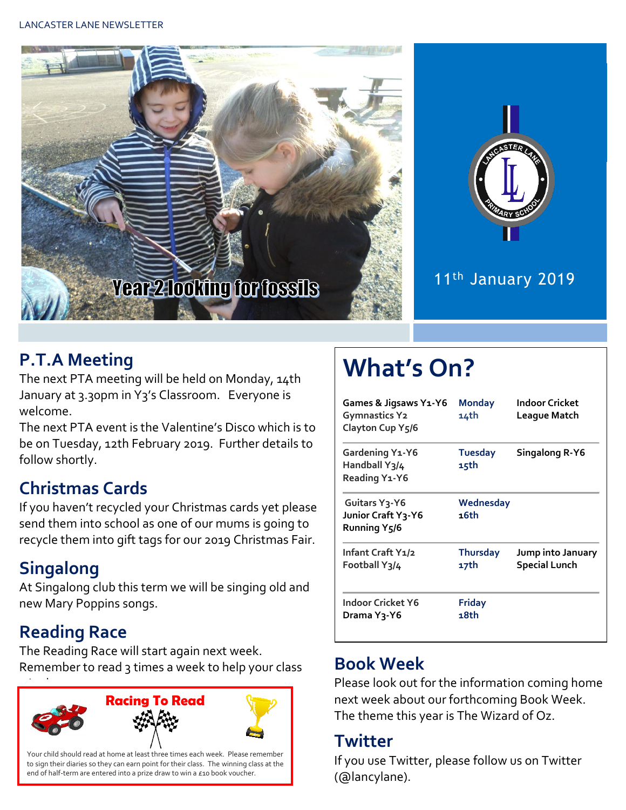



#### 11<sup>th</sup> January 2019

# **P.T.A Meeting**

The next PTA meeting will be held on Monday, 14th January at 3.30pm in Y3's Classroom. Everyone is welcome.

The next PTA event is the Valentine's Disco which is to be on Tuesday, 12th February 2019. Further details to follow shortly.

# **Christmas Cards**

If you haven't recycled your Christmas cards yet please send them into school as one of our mums is going to recycle them into gift tags for our 2019 Christmas Fair.

# **Singalong**

At Singalong club this term we will be singing old and new Mary Poppins songs.

# **Reading Race**

The Reading Race will start again next week. Remember to read 3 times a week to help your class



# **What's On?**

| <b>Games &amp; Jigsaws Y1-Y6</b><br><b>Gymnastics Y2</b><br>Clayton Cup Y5/6 | <b>Monday</b><br>14th   | Indoor Cricket<br>League Match            |  |
|------------------------------------------------------------------------------|-------------------------|-------------------------------------------|--|
| Gardening Y1-Y6<br>Handball Y3/4<br>Reading Y1-Y6                            | <b>Tuesday</b><br>15th  | Singalong R-Y6                            |  |
| Guitars Y <sub>3</sub> -Y6<br>Junior Craft Y3-Y6<br>Running Y5/6             | Wednesday<br>16th       |                                           |  |
| Infant Craft Y1/2<br>Football Y3/4                                           | <b>Thursday</b><br>17th | Jump into January<br><b>Special Lunch</b> |  |
| Indoor Cricket Y6<br>Drama Y3-Y6                                             | <b>Friday</b><br>18th   |                                           |  |

# **Book Week**

Please look out for the information coming home next week about our forthcoming Book Week. The theme this year is The Wizard of Oz.

#### **Twitter**

If you use Twitter, please follow us on Twitter (@lancylane).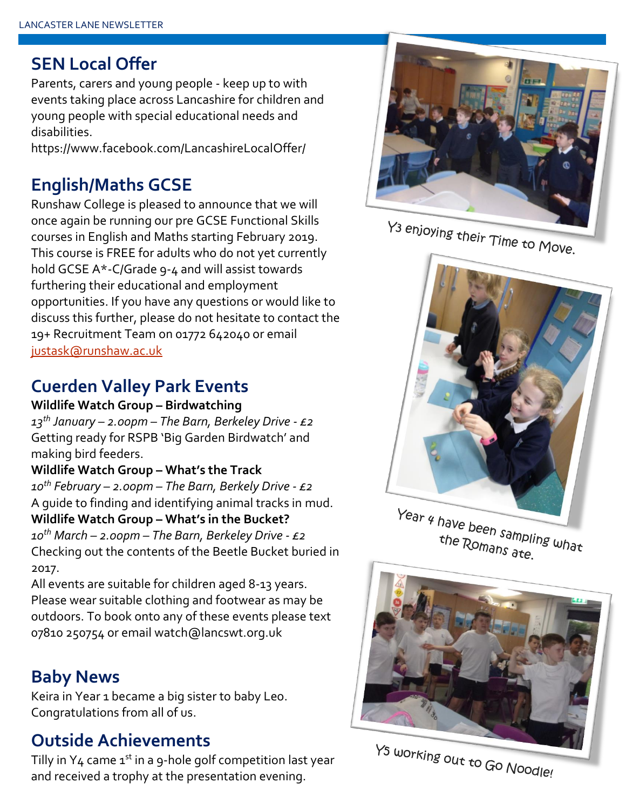#### **SEN Local Offer**

Parents, carers and young people - keep up to with events taking place across Lancashire for children and young people with special educational needs and disabilities.

https://www.facebook.com/LancashireLocalOffer/

# **English/Maths GCSE**

Runshaw College is pleased to announce that we will once again be running our pre GCSE Functional Skills courses in English and Maths starting February 2019. This course is FREE for adults who do not yet currently hold GCSE A\*-C/Grade 9-4 and will assist towards furthering their educational and employment opportunities. If you have any questions or would like to discuss this further, please do not hesitate to contact the 19+ Recruitment Team on 01772 642040 or email [justask@runshaw.ac.uk](mailto:justask@runshaw.ac.uk)

#### **Cuerden Valley Park Events**

**Wildlife Watch Group – Birdwatching** *13th January – 2.00pm – The Barn, Berkeley Drive - £2* Getting ready for RSPB 'Big Garden Birdwatch' and making bird feeders.

#### **Wildlife Watch Group – What's the Track**

*10th February – 2.00pm – The Barn, Berkely Drive - £2* A guide to finding and identifying animal tracks in mud. **Wildlife Watch Group – What's in the Bucket?** *10th March – 2.00pm – The Barn, Berkeley Drive - £2* Checking out the contents of the Beetle Bucket buried in 2017.

All events are suitable for children aged 8-13 years. Please wear suitable clothing and footwear as may be outdoors. To book onto any of these events please text 07810 250754 or email watch@lancswt.org.uk

### **Baby News**

Keira in Year 1 became a big sister to baby Leo. Congratulations from all of us.

#### **Outside Achievements**

Tilly in  $Y_4$  came  $1^{st}$  in a 9-hole golf competition last year and received a trophy at the presentation evening.



Y<sub>3</sub> enjoying their Time to Move.



Year 4 have been sampling what the Romans ate.